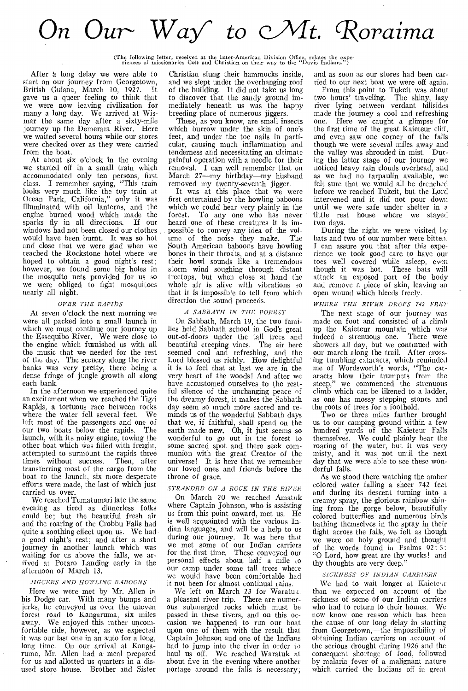# On Our *Wa/ to* cAlt. *'Roraima*

(The following letter, received at the Inter-American Division Office, relates the expe-riences of missionaries Cott and Christian on their way to the "Davis Indians.")

After a long delay we were able to start on our journey from Georgetown, British Guiana, March 10, 1927. gave us a queer feeling to think that we were now leaving civilization for many a long day. We arrived at Wismar the same day after a sixty-mile journey up the Demerara River. Here we waited several hours while our stores were checked over as they were carried from the boat.

At about six o'clock in the evening we started off in a small train which accommodated only ten persons, first class. I remember saying, "This train looks very much like the toy train at Ocean Park, California," only it was illuminated with oil lanterns, and the engine burned wood which made the sparks fly in all directions. If our windows had not been closed our clothes would have been burnt. It was so hot and close that we were glad when we reached the Rockstone hotel where we hoped to obtain a good night's rest; however, we found some big holes in the mosquito nets provided for us so we were obliged to fight mosquitoes nearly all night.

#### *OVER THE RAPIDS*

At seven o'clock the next morning we were all packed into a small launch in which we must continue our journey up the Essequibo River. We were close to the engine which furnished us with all the music that we needed for the rest of the day. The scenery along the river banks was very pretty, there being a dense fringe of jungle growth all along each bank.

In the afternoon we experienced quite an excitement when we reached the Tigri Rapids, a tortuous race between rocks where the water fell several feet. We left most of the passengers and one of our two boats below the rapids. launch, with its noisy engine, towing the other boat which was filled with freight, attempted to surmount the rapids three<br>times without success. Then, after times without success. transferring most of the cargo from the boat to the launch, six more desperate efforts were made, the last of which just carried us over.

We reached Tumatumari late the same evening as tired as dinnerless folks could be; but the beautiful fresh air and the roaring of the Crobbu Falls had quite a soothing effect upon us. We had a good night's rest; and after a short journey in another launch which was waiting for us above the falls, we arrived at Potaro Landing early in the afternoon of March 13.

#### *JIGGERS AND HOWLING BABOONS*

Here we were met by Mr. Allen in his Dodge car. With many bumps and jerks, he conveyed us over the uneven forest road to Kangaruma, six miles<br>away. We enjoyed this rather uncom-We enjoyed this rather uncomfortable ride, however, as we expected it was our last one in an auto for a long, long time. On our arrival at Kangaruma, Mr. Allen had a meal prepared for us and allotted us quarters in a disused store house. Brother and Sister Christian slung their hammocks inside, and we slept under the overhanging roof of the building. It did not take us long to discover that the sandy ground immediately beneath us was the happy breeding place of numerous jiggers.

These, as you know, are small insects which burrow under the skin of one's feet, and under the toe nails in particular, causing much inflammation and tenderness and necessitating an ultimate painful operation with a needle for their removal. I can well remember that on March 27—my birthday—my husband removed my twenty-seventh jigger.

It was at this place that we were first entertained by the howling baboons which we could hear very plainly in the forest. To any one who has never heard one of these creatures it is impossible to convey any idea of the volume of the noise they make. The South American baboons have howling bones in their throats, and at a distance their howl sounds like a tremendous storm wind soughing through distant treetops, but when close at hand the whole air is alive with vibrations so that it is impossible to tell from which direction the sound proceeds.

#### *A SABBATH IN THE FOREST*

On Sabbath, March 19, the two families held Sabbath school in God's great out-of-doors under the tall trees and beautiful creeping vines. The air here seemed cool and refreshing, and the Lord blessed us richly. How delightful it is to feel that at last we are in the very heart of the woods! And after we have accustomed ourselves to the restful silence of the unchanging peace of the dreamy forest, it makes the Sabbath day seem so much more sacred and reminds us of the wonderful Sabbath days that we, if faithful, shall spend on the earth made new. Oh, it just seems so wonderful to go out in the forest to some sacred spot and there seek communion with the great Creator of the universe! It is here that we remember our loved ones and friends before the throne of grace.

#### *STRANDED ON A ROCK IN THE RIVER*

On March 20 we reached Amatuk where Captain Johnson, who is assisting us from this point onward, met us. He is well acquainted with the various Indian languages, and will be a help to us during our journey. It was here that we met some of our Indian carriers for the first time. These conveyed our personal effects about half a mile to our camp under some tall trees where we would have been comfortable had it not been for almost continual rains.

We left on March 23 for Waratuk. a pleasant river trip. There are numerous submerged rocks which must be passed in these rivers, and on this occasion we happened to run our boat upon one of them with the result that Captain Johnson and one of the Indians had to jump into the river in order to haul us off. We reached Waratuk at about five in the evening where another portage around the falls is necessary;

and as soon as our stores had been carried to our next boat we were off again.

From this point to Tukeit was about two hours' traveling. The shiny, lazy river lying between verdant hillsides made the journey a cool and refreshing<br>one. Here we caught a glimpse for Here we caught a glimpse for the first time of the great Kaieteur cliff, and even saw one corner of the falls though we were several miles away and the valley was shrouded in mist. During the latter stage of our journey we noticed heavy rain clouds overhead, and as we had no tarpaulin available, we felt sure that we would all be drenched before we reached Tukeit, but the Lord intervened and it did not pour down until we were safe under shelter in a little rest house where we stayed two days.

During the night we were visited by bats and two of our number were bitten. I can assure you that after this experience we took good care to have our toes well covered while asleep, even though it was hot. These bats will attack an exposed part of the body and remove a piece of skin, leaving an open wound which bleeds freely.

#### *WHERE THE RIVER DROPS 742 FEET*

The next stage of our journey was made on foot and consisted of a climb up the Kaieteur mountain which was indeed a strenuous one. There were shower's all day, but we continued with our march along the trail. After crossing tumbling cataracts, which reminded me of Wordsworth's words, "The cataracts blow their trumpets from the steep," we commenced the strenuous we commenced the strenuous climb which can be likened to a ladder, as one has mossy stepping stones and the roots of trees for a foothold.

Two or three miles farther brought us to our camping ground within a few hundred yards of the Kaieteur Falls themselves. We could plainly hear the roaring of the water, but it was very misty, and it was not until the next day that we were able to see these wonderful falls.

As we stood there watching the amber colored water falling a sheer 742 feet and during its descent turning into a creamy spray, the glorious rainbow shining from the gorge below, beautifully colored butterflies and numerous birds bathing themselves in the spray in their flight across the falls, we felt as though we were on holy ground and thought of the words found in Psalms 92: 5: "0 Lord, how great are thy works! and thy thoughts are very deep."

#### *SICKNESS OF INDIAN CARRIERS*

We had to wait longer at Kaieteur than we expected on account of the sickness of some of our Indian carriers who had to return to their homes. We now know one reason which has been the cause of our long delay in starting from Georgetown,—the impossibility of obtaining Indian carriers on account of the serious drought during 1926 and the consequent shortage of food, followed by malaria fever of a malignant nature which carried the Indians off in great